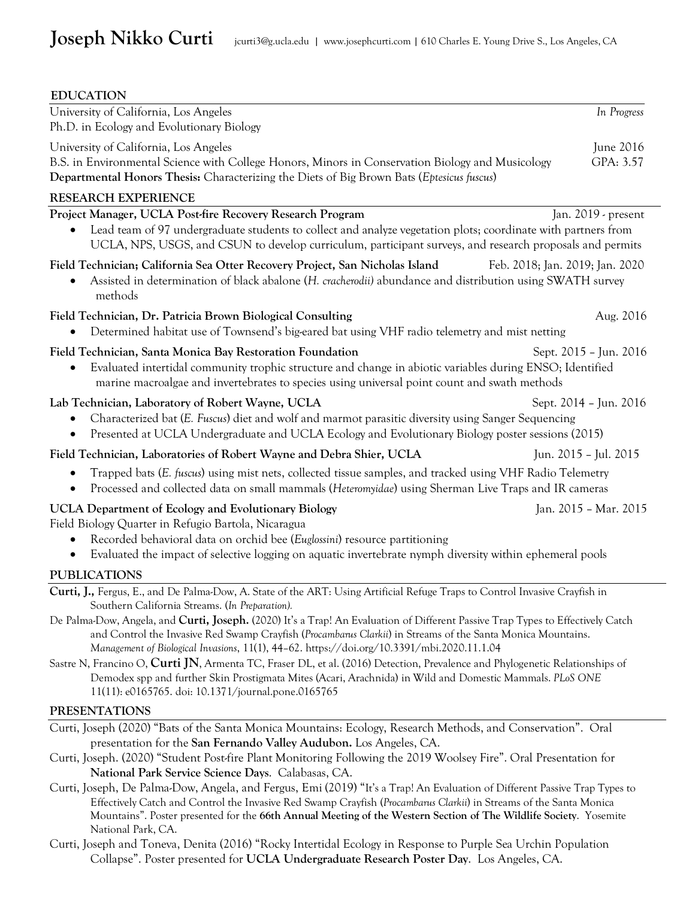| <b>EDUCATION</b>                                                                                                                                                                                                                                                                                                                                                                                                                                                                                                                                                                                                                                                                                                                       |                        |  |
|----------------------------------------------------------------------------------------------------------------------------------------------------------------------------------------------------------------------------------------------------------------------------------------------------------------------------------------------------------------------------------------------------------------------------------------------------------------------------------------------------------------------------------------------------------------------------------------------------------------------------------------------------------------------------------------------------------------------------------------|------------------------|--|
| University of California, Los Angeles<br>Ph.D. in Ecology and Evolutionary Biology                                                                                                                                                                                                                                                                                                                                                                                                                                                                                                                                                                                                                                                     | In Progress            |  |
| University of California, Los Angeles<br>B.S. in Environmental Science with College Honors, Minors in Conservation Biology and Musicology<br>Departmental Honors Thesis: Characterizing the Diets of Big Brown Bats (Eptesicus fuscus)                                                                                                                                                                                                                                                                                                                                                                                                                                                                                                 | June 2016<br>GPA: 3.57 |  |
| <b>RESEARCH EXPERIENCE</b>                                                                                                                                                                                                                                                                                                                                                                                                                                                                                                                                                                                                                                                                                                             |                        |  |
| Project Manager, UCLA Post-fire Recovery Research Program<br>Lead team of 97 undergraduate students to collect and analyze vegetation plots; coordinate with partners from<br>UCLA, NPS, USGS, and CSUN to develop curriculum, participant surveys, and research proposals and permits                                                                                                                                                                                                                                                                                                                                                                                                                                                 | Jan. 2019 - present    |  |
| Field Technician; California Sea Otter Recovery Project, San Nicholas Island<br>Feb. 2018; Jan. 2019; Jan. 2020<br>Assisted in determination of black abalone (H. cracherodii) abundance and distribution using SWATH survey<br>methods                                                                                                                                                                                                                                                                                                                                                                                                                                                                                                |                        |  |
| Field Technician, Dr. Patricia Brown Biological Consulting<br>Determined habitat use of Townsend's big-eared bat using VHF radio telemetry and mist netting                                                                                                                                                                                                                                                                                                                                                                                                                                                                                                                                                                            | Aug. 2016              |  |
| Field Technician, Santa Monica Bay Restoration Foundation<br>Evaluated intertidal community trophic structure and change in abiotic variables during ENSO; Identified<br>marine macroalgae and invertebrates to species using universal point count and swath methods                                                                                                                                                                                                                                                                                                                                                                                                                                                                  | Sept. 2015 - Jun. 2016 |  |
| Lab Technician, Laboratory of Robert Wayne, UCLA<br>Characterized bat (E. Fuscus) diet and wolf and marmot parasitic diversity using Sanger Sequencing<br>Presented at UCLA Undergraduate and UCLA Ecology and Evolutionary Biology poster sessions (2015)                                                                                                                                                                                                                                                                                                                                                                                                                                                                             | Sept. 2014 - Jun. 2016 |  |
| Field Technician, Laboratories of Robert Wayne and Debra Shier, UCLA                                                                                                                                                                                                                                                                                                                                                                                                                                                                                                                                                                                                                                                                   | Jun. 2015 - Jul. 2015  |  |
| Trapped bats (E. fuscus) using mist nets, collected tissue samples, and tracked using VHF Radio Telemetry<br>Processed and collected data on small mammals (Heteromyidae) using Sherman Live Traps and IR cameras<br>$\bullet$                                                                                                                                                                                                                                                                                                                                                                                                                                                                                                         |                        |  |
| <b>UCLA Department of Ecology and Evolutionary Biology</b><br>Field Biology Quarter in Refugio Bartola, Nicaragua<br>Recorded behavioral data on orchid bee (Euglossini) resource partitioning<br>Evaluated the impact of selective logging on aquatic invertebrate nymph diversity within ephemeral pools<br>٠                                                                                                                                                                                                                                                                                                                                                                                                                        | Jan. 2015 - Mar. 2015  |  |
| <b>PUBLICATIONS</b>                                                                                                                                                                                                                                                                                                                                                                                                                                                                                                                                                                                                                                                                                                                    |                        |  |
| Curti, J., Fergus, E., and De Palma-Dow, A. State of the ART: Using Artificial Refuge Traps to Control Invasive Crayfish in<br>Southern California Streams. (In Preparation).                                                                                                                                                                                                                                                                                                                                                                                                                                                                                                                                                          |                        |  |
| De Palma-Dow, Angela, and Curti, Joseph. (2020) It's a Trap! An Evaluation of Different Passive Trap Types to Effectively Catch<br>and Control the Invasive Red Swamp Crayfish (Procambarus Clarkii) in Streams of the Santa Monica Mountains.<br>Management of Biological Invasions, 11(1), 44-62. https://doi.org/10.3391/mbi.2020.11.1.04                                                                                                                                                                                                                                                                                                                                                                                           |                        |  |
| Sastre N, Francino O, Curti JN, Armenta TC, Fraser DL, et al. (2016) Detection, Prevalence and Phylogenetic Relationships of<br>Demodex spp and further Skin Prostigmata Mites (Acari, Arachnida) in Wild and Domestic Mammals. PLoS ONE<br>11(11): e0165765. doi: 10.1371/journal.pone.0165765                                                                                                                                                                                                                                                                                                                                                                                                                                        |                        |  |
| <b>PRESENTATIONS</b>                                                                                                                                                                                                                                                                                                                                                                                                                                                                                                                                                                                                                                                                                                                   |                        |  |
| Curti, Joseph (2020) "Bats of the Santa Monica Mountains: Ecology, Research Methods, and Conservation". Oral<br>presentation for the San Fernando Valley Audubon. Los Angeles, CA.<br>Curti, Joseph. (2020) "Student Post-fire Plant Monitoring Following the 2019 Woolsey Fire". Oral Presentation for<br>National Park Service Science Days. Calabasas, CA.<br>Curti, Joseph, De Palma-Dow, Angela, and Fergus, Emi (2019) "It's a Trap! An Evaluation of Different Passive Trap Types to<br>Effectively Catch and Control the Invasive Red Swamp Crayfish (Procambarus Clarkii) in Streams of the Santa Monica<br>Mountains". Poster presented for the 66th Annual Meeting of the Western Section of The Wildlife Society. Yosemite |                        |  |
| National Park, CA.<br>Curti, Joseph and Toneva, Denita (2016) "Rocky Intertidal Ecology in Response to Purple Sea Urchin Population<br>Collapse". Poster presented for UCLA Undergraduate Research Poster Day. Los Angeles, CA.                                                                                                                                                                                                                                                                                                                                                                                                                                                                                                        |                        |  |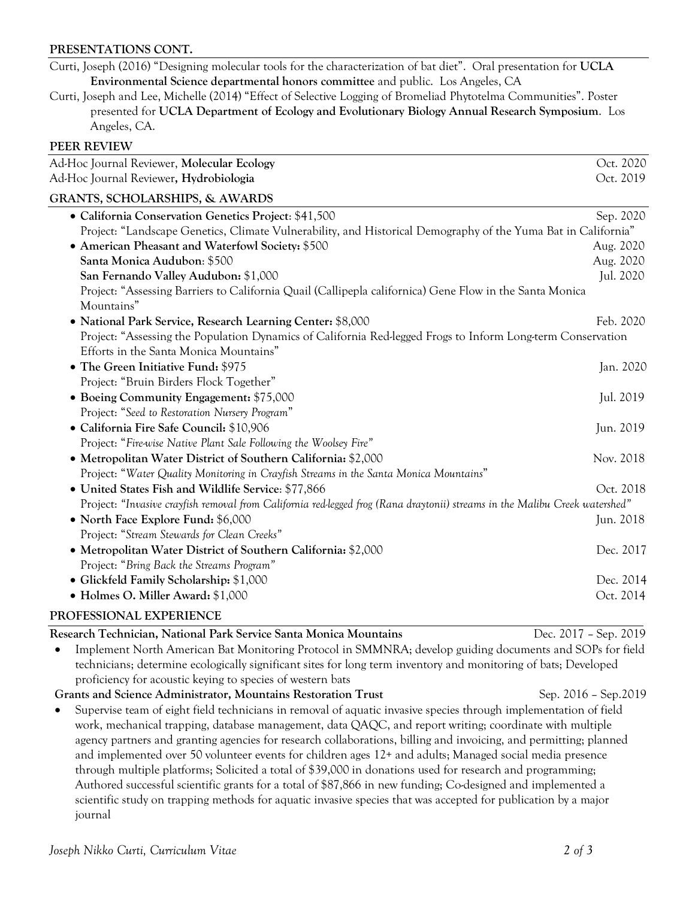## **PRESENTATIONS CONT.**

Curti, Joseph (2016) "Designing molecular tools for the characterization of bat diet". Oral presentation for **UCLA Environmental Science departmental honors committee** and public. Los Angeles, CA

Curti, Joseph and Lee, Michelle (2014) "Effect of Selective Logging of Bromeliad Phytotelma Communities". Poster presented for **UCLA Department of Ecology and Evolutionary Biology Annual Research Symposium**. Los Angeles, CA.

#### **PEER REVIEW**

| Ad-Hoc Journal Reviewer, Molecular Ecology                                                                                  | Oct. 2020 |  |
|-----------------------------------------------------------------------------------------------------------------------------|-----------|--|
| Ad-Hoc Journal Reviewer, Hydrobiologia                                                                                      | Oct. 2019 |  |
| <b>GRANTS, SCHOLARSHIPS, &amp; AWARDS</b>                                                                                   |           |  |
| • California Conservation Genetics Project: \$41,500                                                                        | Sep. 2020 |  |
| Project: "Landscape Genetics, Climate Vulnerability, and Historical Demography of the Yuma Bat in California"               |           |  |
| • American Pheasant and Waterfowl Society: \$500                                                                            | Aug. 2020 |  |
| Santa Monica Audubon: \$500                                                                                                 | Aug. 2020 |  |
| San Fernando Valley Audubon: \$1,000                                                                                        | Jul. 2020 |  |
| Project: "Assessing Barriers to California Quail (Callipepla californica) Gene Flow in the Santa Monica                     |           |  |
| Mountains"                                                                                                                  |           |  |
| • National Park Service, Research Learning Center: \$8,000                                                                  | Feb. 2020 |  |
| Project: "Assessing the Population Dynamics of California Red-legged Frogs to Inform Long-term Conservation                 |           |  |
| Efforts in the Santa Monica Mountains"                                                                                      |           |  |
| • The Green Initiative Fund: \$975                                                                                          | Jan. 2020 |  |
| Project: "Bruin Birders Flock Together"                                                                                     |           |  |
| • Boeing Community Engagement: \$75,000                                                                                     | Jul. 2019 |  |
| Project: "Seed to Restoration Nursery Program"                                                                              |           |  |
| · California Fire Safe Council: \$10,906                                                                                    | Jun. 2019 |  |
| Project: "Fire-wise Native Plant Sale Following the Woolsey Fire"                                                           |           |  |
| • Metropolitan Water District of Southern California: \$2,000                                                               | Nov. 2018 |  |
| Project: "Water Quality Monitoring in Crayfish Streams in the Santa Monica Mountains"                                       |           |  |
| • United States Fish and Wildlife Service: \$77,866                                                                         | Oct. 2018 |  |
| Project: "Invasive crayfish removal from California red-legged frog (Rana draytonii) streams in the Malibu Creek watershed" |           |  |
| • North Face Explore Fund: \$6,000                                                                                          | Jun. 2018 |  |
| Project: "Stream Stewards for Clean Creeks"                                                                                 |           |  |
| • Metropolitan Water District of Southern California: \$2,000                                                               | Dec. 2017 |  |
| Project: "Bring Back the Streams Program"                                                                                   |           |  |
| • Glickfeld Family Scholarship: \$1,000                                                                                     | Dec. 2014 |  |
| · Holmes O. Miller Award: \$1,000                                                                                           | Oct. 2014 |  |
| DDOEE00IOM LI EVDEDIEMOE                                                                                                    |           |  |

# **PROFESSIONAL EXPERIENCE**

**Research Technician, National Park Service Santa Monica Mountains** Dec. 2017 – Sep. 2019

• Implement North American Bat Monitoring Protocol in SMMNRA; develop guiding documents and SOPs for field technicians; determine ecologically significant sites for long term inventory and monitoring of bats; Developed proficiency for acoustic keying to species of western bats

# **Grants and Science Administrator, Mountains Restoration Trust** Sep. 2016 – Sep.2019

• Supervise team of eight field technicians in removal of aquatic invasive species through implementation of field work, mechanical trapping, database management, data QAQC, and report writing; coordinate with multiple agency partners and granting agencies for research collaborations, billing and invoicing, and permitting; planned and implemented over 50 volunteer events for children ages 12+ and adults; Managed social media presence through multiple platforms; Solicited a total of \$39,000 in donations used for research and programming; Authored successful scientific grants for a total of \$87,866 in new funding; Co-designed and implemented a scientific study on trapping methods for aquatic invasive species that was accepted for publication by a major journal